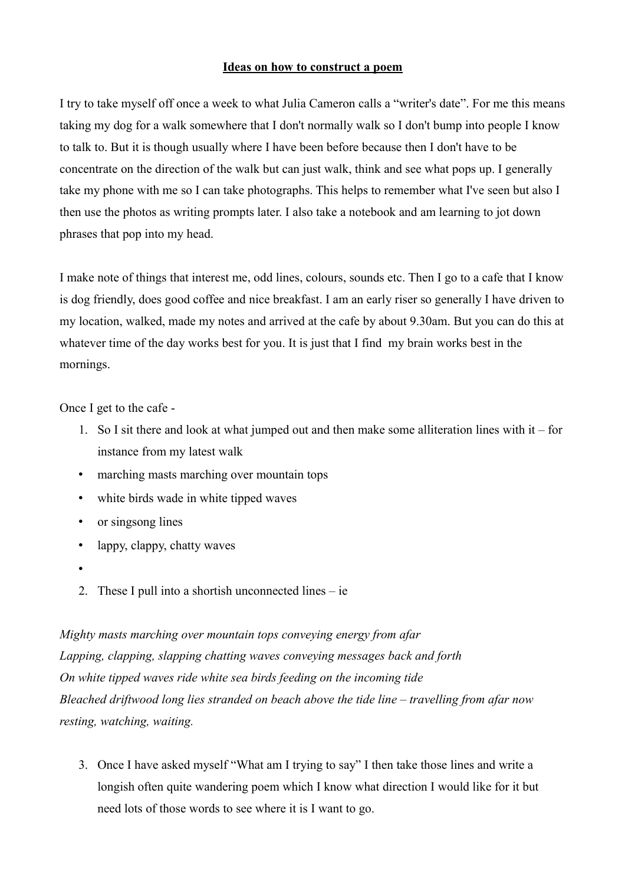## **Ideas on how to construct a poem**

I try to take myself off once a week to what Julia Cameron calls a "writer's date". For me this means taking my dog for a walk somewhere that I don't normally walk so I don't bump into people I know to talk to. But it is though usually where I have been before because then I don't have to be concentrate on the direction of the walk but can just walk, think and see what pops up. I generally take my phone with me so I can take photographs. This helps to remember what I've seen but also I then use the photos as writing prompts later. I also take a notebook and am learning to jot down phrases that pop into my head.

I make note of things that interest me, odd lines, colours, sounds etc. Then I go to a cafe that I know is dog friendly, does good coffee and nice breakfast. I am an early riser so generally I have driven to my location, walked, made my notes and arrived at the cafe by about 9.30am. But you can do this at whatever time of the day works best for you. It is just that I find my brain works best in the mornings.

Once I get to the cafe -

- 1. So I sit there and look at what jumped out and then make some alliteration lines with it for instance from my latest walk
- marching masts marching over mountain tops
- white birds wade in white tipped waves
- or singsong lines
- lappy, clappy, chatty waves
- •
- 2. These I pull into a shortish unconnected lines ie

*Mighty masts marching over mountain tops conveying energy from afar Lapping, clapping, slapping chatting waves conveying messages back and forth On white tipped waves ride white sea birds feeding on the incoming tide Bleached driftwood long lies stranded on beach above the tide line – travelling from afar now resting, watching, waiting.*

3. Once I have asked myself "What am I trying to say" I then take those lines and write a longish often quite wandering poem which I know what direction I would like for it but need lots of those words to see where it is I want to go.